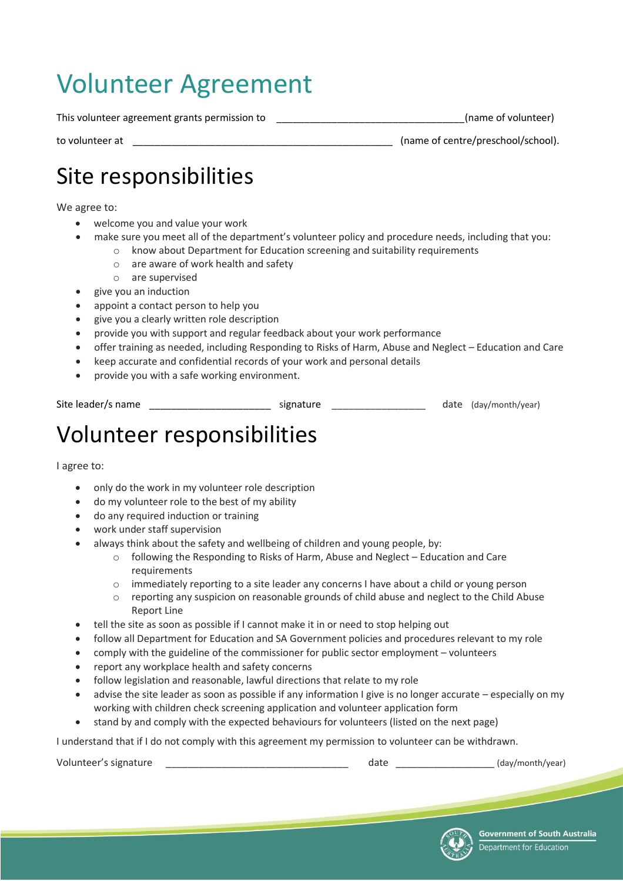# Volunteer Agreement

This volunteer agreement grants permission to \_\_\_\_\_\_\_\_\_\_\_\_\_\_\_\_\_\_\_\_\_\_\_\_\_\_\_\_\_\_\_\_\_\_(name of volunteer)

to volunteer at \_\_\_\_\_\_\_\_\_\_\_\_\_\_\_\_\_\_\_\_\_\_\_\_\_\_\_\_\_\_\_\_\_\_\_\_\_\_\_\_\_\_\_\_\_\_\_ (name of centre/preschool/school).

### Site responsibilities

We agree to:

- welcome you and value your work
- make sure you meet all of the department's volunteer policy and procedure needs, including that you:
	- o know about Department for Education screening and suitability requirements
		- o are aware of work health and safety
		- o are supervised
- give you an induction
- appoint a contact person to help you
- give you a clearly written role description
- provide you with support and regular feedback about your work performance
- offer training as needed, including Responding to Risks of Harm, Abuse and Neglect Education and Care
- keep accurate and confidential records of your work and personal details
- provide you with a safe working environment.

| Site leader/s name | signature |  | date (day/month/year) |
|--------------------|-----------|--|-----------------------|
|                    |           |  |                       |

## Volunteer responsibilities

I agree to:

- only do the work in my volunteer role description
- do my volunteer role to the best of my ability
- do any required induction or training
- work under staff supervision
	- always think about the safety and wellbeing of children and young people, by:
		- o following the Responding to Risks of Harm, Abuse and Neglect Education and Care requirements
		- o immediately reporting to a site leader any concerns I have about a child or young person
		- o reporting any suspicion on reasonable grounds of child abuse and neglect to the Child Abuse Report Line
- tell the site as soon as possible if I cannot make it in or need to stop helping out
- follow all Department for Education and SA Government policies and procedures relevant to my role
- comply with the guideline of the commissioner for public sector employment volunteers
- report any workplace health and safety concerns
- follow legislation and reasonable, lawful directions that relate to my role
- advise the site leader as soon as possible if any information I give is no longer accurate especially on my working with children check screening application and volunteer application form
- stand by and comply with the expected behaviours for volunteers (listed on the next page)

I understand that if I do not comply with this agreement my permission to volunteer can be withdrawn.

Volunteer's signature example and the state of the date of the date of the date of the day/month/year)

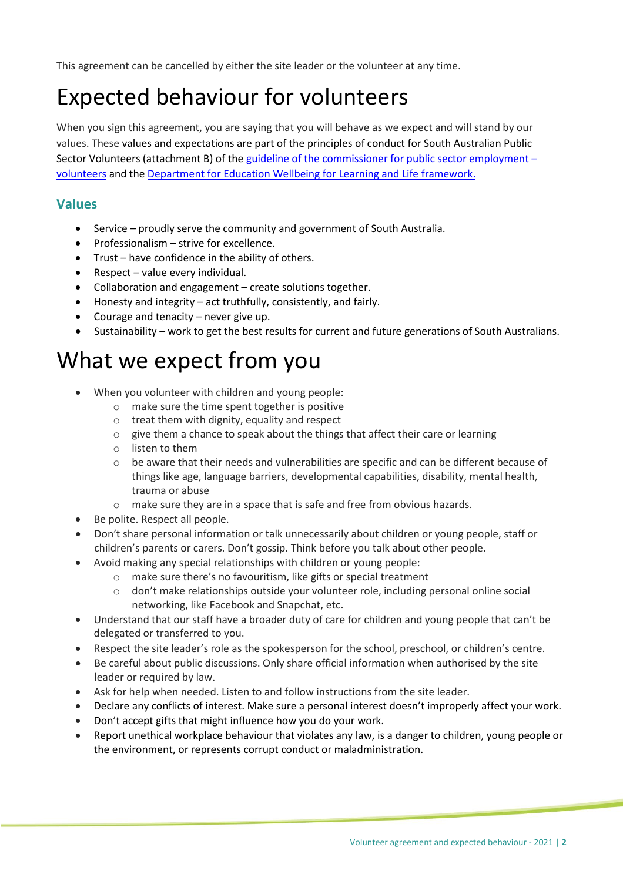This agreement can be cancelled by either the site leader or the volunteer at any time.

### Expected behaviour for volunteers

When you sign this agreement, you are saying that you will behave as we expect and will stand by our values. These values and expectations are part of the principles of conduct for South Australian Public Sector Volunteers (attachment B) of the [guideline of the commissioner for public sector employment](http://publicsector.sa.gov.au/wp-content/uploads/26102016-Volunteer-Guideline-Version-5.pdf#page=11) – [volunteers](http://publicsector.sa.gov.au/wp-content/uploads/26102016-Volunteer-Guideline-Version-5.pdf#page=11) and the [Department for Education Wellbeing for Learning and Life framework.](https://www.decd.sa.gov.au/doc/wellbeing-learning-and-life-framework)

#### **Values**

- Service proudly serve the community and government of South Australia.
- Professionalism strive for excellence.
- Trust have confidence in the ability of others.
- Respect value every individual.
- Collaboration and engagement create solutions together.
- Honesty and integrity act truthfully, consistently, and fairly.
- $\bullet$  Courage and tenacity never give up.
- Sustainability work to get the best results for current and future generations of South Australians.

#### What we expect from you

- When you volunteer with children and young people:
	- o make sure the time spent together is positive
	- o treat them with dignity, equality and respect
	- o give them a chance to speak about the things that affect their care or learning
	- o listen to them
	- o be aware that their needs and vulnerabilities are specific and can be different because of things like age, language barriers, developmental capabilities, disability, mental health, trauma or abuse
	- o make sure they are in a space that is safe and free from obvious hazards.
- Be polite. Respect all people.
- Don't share personal information or talk unnecessarily about children or young people, staff or children's parents or carers. Don't gossip. Think before you talk about other people.
- Avoid making any special relationships with children or young people:
	- o make sure there's no favouritism, like gifts or special treatment
	- o don't make relationships outside your volunteer role, including personal online social networking, like Facebook and Snapchat, etc.
- Understand that our staff have a broader duty of care for children and young people that can't be delegated or transferred to you.
- Respect the site leader's role as the spokesperson for the school, preschool, or children's centre.
- Be careful about public discussions. Only share official information when authorised by the site leader or required by law.
- Ask for help when needed. Listen to and follow instructions from the site leader.
- Declare any conflicts of interest. Make sure a personal interest doesn't improperly affect your work.
- Don't accept gifts that might influence how you do your work.
- Report unethical workplace behaviour that violates any law, is a danger to children, young people or the environment, or represents corrupt conduct or maladministration.